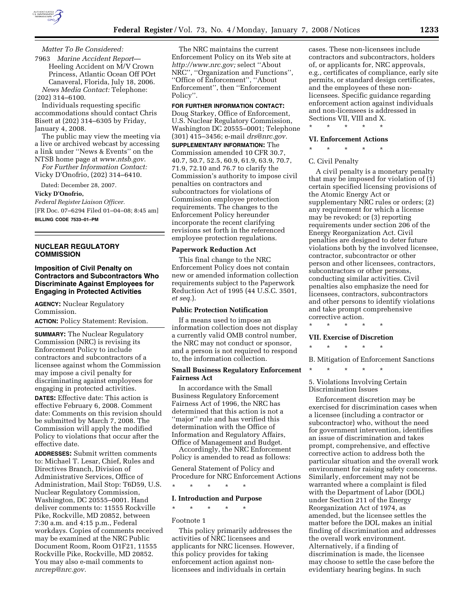

## *Matter To Be Considered:*

7963 *Marine Accident Report*— Heeling Accident on M/V Crown Princess, Atlantic Ocean Off POrt Canaveral, Florida, July 18, 2006. *News Media Contact:* Telephone: (202) 314–6100.

Individuals requesting specific accommodations should contact Chris Bisett at (202) 314–6305 by Friday, January 4, 2008.

The public may view the meeting via a live or archived webcast by accessing a link under ''News & Events'' on the NTSB home page at *www.ntsb.gov*.

*For Further Information Contact:*  Vicky D'Onofrio, (202) 314–6410.

Dated: December 28, 2007.

#### **Vicky D'Onofrio,**

*Federal Register Liaison Officer.*  [FR Doc. 07–6294 Filed 01–04–08; 8:45 am] **BILLING CODE 7533–01–PM** 

### **NUCLEAR REGULATORY COMMISSION**

### **Imposition of Civil Penalty on Contractors and Subcontractors Who Discriminate Against Employees for Engaging in Protected Activities**

**AGENCY:** Nuclear Regulatory Commission.

**ACTION:** Policy Statement: Revision.

**SUMMARY:** The Nuclear Regulatory Commission (NRC) is revising its Enforcement Policy to include contractors and subcontractors of a licensee against whom the Commission may impose a civil penalty for discriminating against employees for engaging in protected activities.

**DATES:** Effective date: This action is effective February 6, 2008. Comment date: Comments on this revision should be submitted by March 7, 2008. The Commission will apply the modified Policy to violations that occur after the effective date.

**ADDRESSES:** Submit written comments to: Michael T. Lesar, Chief, Rules and Directives Branch, Division of Administrative Services, Office of Administration, Mail Stop: T6D59, U.S. Nuclear Regulatory Commission, Washington, DC 20555–0001. Hand deliver comments to: 11555 Rockville Pike, Rockville, MD 20852, between 7:30 a.m. and 4:15 p.m., Federal workdays. Copies of comments received may be examined at the NRC Public Document Room, Room O1F21, 11555 Rockville Pike, Rockville, MD 20852. You may also e-mail comments to *nrcrep@nrc.gov.* 

The NRC maintains the current Enforcement Policy on its Web site at *http://www.nrc.gov;* select ''About NRC'', ''Organization and Functions'', ''Office of Enforcement'', ''About Enforcement'', then ''Enforcement Policy''.

## **FOR FURTHER INFORMATION CONTACT:**

Doug Starkey, Office of Enforcement, U.S. Nuclear Regulatory Commission, Washington DC 20555–0001; Telephone (301) 415–3456; e-mail *drs@nrc.gov.*  **SUPPLEMENTARY INFORMATION:** The Commission amended 10 CFR 30.7, 40.7, 50.7, 52.5, 60.9, 61.9, 63.9, 70.7, 71.9, 72.10 and 76.7 to clarify the Commission's authority to impose civil penalties on contractors and subcontractors for violations of Commission employee protection requirements. The changes to the Enforcement Policy hereunder incorporate the recent clarifying revisions set forth in the referenced employee protection regulations.

### **Paperwork Reduction Act**

This final change to the NRC Enforcement Policy does not contain new or amended information collection requirements subject to the Paperwork Reduction Act of 1995 (44 U.S.C. 3501, *et seq.*).

#### **Public Protection Notification**

If a means used to impose an information collection does not display a currently valid OMB control number, the NRC may not conduct or sponsor, and a person is not required to respond to, the information collection.

### **Small Business Regulatory Enforcement Fairness Act**

In accordance with the Small Business Regulatory Enforcement Fairness Act of 1996, the NRC has determined that this action is not a ''major'' rule and has verified this determination with the Office of Information and Regulatory Affairs, Office of Management and Budget.

Accordingly, the NRC Enforcement Policy is amended to read as follows:

General Statement of Policy and Procedure for NRC Enforcement Actions

\* \* \* \* \*

# **I. Introduction and Purpose**

# \* \* \* \* \*

# Footnote 1

This policy primarily addresses the activities of NRC licensees and applicants for NRC licenses. However, this policy provides for taking enforcement action against nonlicensees and individuals in certain

cases. These non-licensees include contractors and subcontractors, holders of, or applicants for, NRC approvals, e.g., certificates of compliance, early site permits, or standard design certificates, and the employees of these nonlicensees. Specific guidance regarding enforcement action against individuals and non-licensees is addressed in Sections VII, VIII and X.

\* \* \* \* \*

## **VI. Enforcement Actions**

\* \* \* \* \*

# C. Civil Penalty

A civil penalty is a monetary penalty that may be imposed for violation of (1) certain specified licensing provisions of the Atomic Energy Act or supplementary NRC rules or orders; (2) any requirement for which a license may be revoked; or (3) reporting requirements under section 206 of the Energy Reorganization Act. Civil penalties are designed to deter future violations both by the involved licensee, contractor, subcontractor or other person and other licensees, contractors, subcontractors or other persons, conducting similar activities. Civil penalties also emphasize the need for licensees, contractors, subcontractors and other persons to identify violations and take prompt comprehensive corrective action.

# \* \* \* \* \*

# **VII. Exercise of Discretion**  \* \* \* \* \*

B. Mitigation of Enforcement Sanctions

\* \* \* \* \*

### 5. Violations Involving Certain Discrimination Issues

Enforcement discretion may be exercised for discrimination cases when a licensee (including a contractor or subcontractor) who, without the need for government intervention, identifies an issue of discrimination and takes prompt, comprehensive, and effective corrective action to address both the particular situation and the overall work environment for raising safety concerns. Similarly, enforcement may not be warranted where a complaint is filed with the Department of Labor (DOL) under Section 211 of the Energy Reorganization Act of 1974, as amended, but the licensee settles the matter before the DOL makes an initial finding of discrimination and addresses the overall work environment. Alternatively, if a finding of discrimination is made, the licensee may choose to settle the case before the evidentiary hearing begins. In such